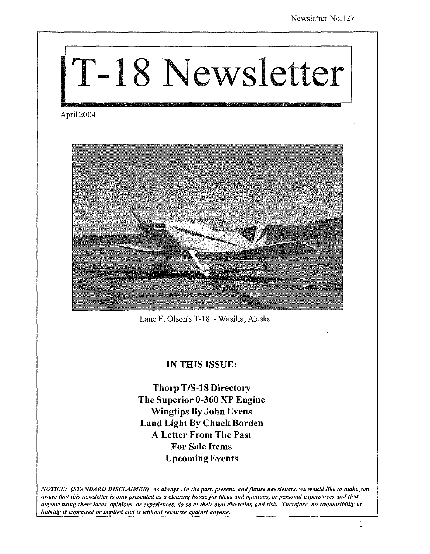# T-18 Newsletter

April 2004



Lane E. Olson's T-18 ~ Wasilla, Alaska

# IN THIS ISSUE:

Thorp *T/S-18* Directory The Superior 0-360 XP Engine Wingtips By John Evens Land Light By Chuck Borden A Letter From The Past For Sale Items Upcoming Events

*NOTICE: (STANDARD DISCLAIMER) As always, in tlte past, present, amI future newsletters, we would like to make you aware tltat tltis newsletter is Dilly presented as a clearing house for ideas and opinions, or personal experiences and that anyone using these ideas, opinions, or experiences, do so at their own discretion and risk. Therefore, no responsibility or liability is expressed or implied and is without recourse against anyone.* 

I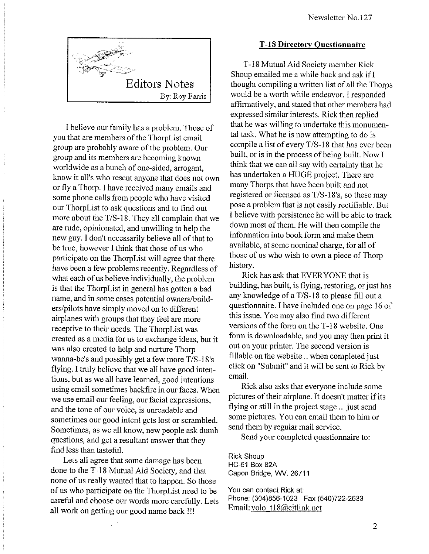

I believe our family has a problem. Those of you that are members of the ThorpList email group are probably aware of the problem. Our group and its members are becoming known worldwide as a bunch of one-sided, arrogant, know it all's who resent anyone that does not own or fly a Thorp. I have received many emails and some phone calls from people who have visited our ThorpList to ask questions and to find out more about the T/S-18. They all complain that we are rude, opinionated, and unwilling to help the new guy. I don't necessarily believe all of that to be true, however I think that those of us who participate on the ThorpList will agree that there have been a few problems recently. Regardless of what each of us believe individually, the problem is that the ThorpList in general has gotten a bad name, and in some cases potential owners/builders/pilots have simply moved on to different airplanes with groups that they feel are more receptive to their needs. The ThorpList was created as a media for us to exchange ideas, but it was also created to help and nurture Thorp wanna-be's and possibly get a few more T/S-18's flying. I truly believe that we all have good intentions, but as we all have learned, good intentions using email sometimes backfire in our faces. When we use email our feeling, our facial expressions, and the tone of our voice, is unreadable and sometimes our good intent gets lost or scrambled. Sometimes, as we all know, new people ask dumb questions, and get a resultant answer that they find less than tasteful.

Lets ail agree that some damage has been done to the T-18 Mutual Aid Society, and that none of us really wanted that to happen. So those of us who participate on the ThorpList need to be careful and choose our words more carefully. Lets all work on getting our good name back !!!

#### T -18 **Directory Questionnaire**

T-18 Mutual Aid Society member Rick Shoup emailed me a while back and ask if I thought compiling a written list of all the Thorps would be a worth while endeavor. I responded affirmatively, and stated that other members had expressed similar interests. Rick then replied that he was willing to undertake this monumental task. What he is now attempting to do is compile a list of every  $T/S-18$  that has ever been built, or is in the process of being built. Now I think that we can all say with certainty that he has undertaken a HUGE project. There are many Thorps that have been built and not registered or licensed as T/S-18's, so these may pose a problem that is not easily rectifiable. But I believe with persistence he will be able to track down most of them. He will then compile the information into book form and make them available, at some nominal charge, for all of those of us who wish to own a piece of Thorp history.

Rick has ask that EVERYONE that is building, has built, is flying, restoring, or just has any knowledge of a T/S-18 to please fill out a questionnaire. I have included one on page 16 of this issue. You may also find two different versions of the form on the T -18 website. One form is downloadable, and you may then print it out on your printer. The second version is fillable on the website .. when completed just click on "Submit" and it will be sent to Rick by email.

Rick also asks that everyone include some pictures of their airplane. It doesn't matter if its flying or still in the project stage ... just send some pictures. You can email them to him or send them by regular mail service.

Send your completed questionnaire to:

Rick Shoup HC-61 Box 82A Capon Bridge, WV. 26711

You can contact Rick at: Phone: (304)856-1023 Fax (540)722-2633 Email: volo t18@citlink.net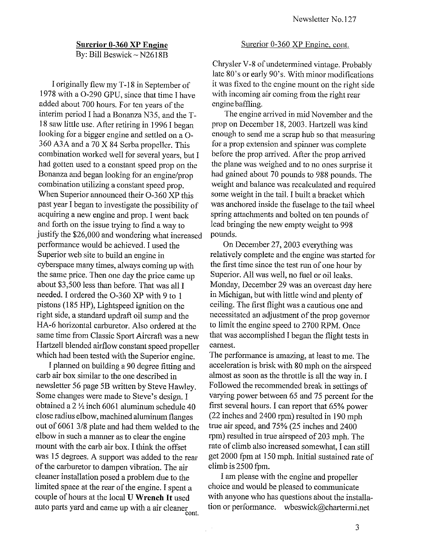# **Surerior 0-360 XP Engine**

By: Bill Beswick - N2618B

I originally flew my T -18 in September of 1978 with a 0-290 GPU, since that time I have added about 700 hours. For ten years of the interim period I had a Bonanza N35, and the T-18 saw little use. After retiring in 1996 I began looking for a bigger engine and settled on a 0- *360 A3A* and a 70 X 84 Serba propeller. This combination worked well for several years, but I had gotten used to a constant speed prop on the Bonanza and began looking for an engine/prop combination utilizing a constant speed prop. When Superior announced their 0-360 XP this past year I began to investigate the possibility of acquiring a new engine and prop. I went back and forth on the issue trying to find a way to justify the \$26,000 and wondering what increased performance would be achieved. I used the Superior web site to build an engine in cyberspace many times, always coming up with the same price. Then one day the price came up about \$3,500 less than before. That was all I needed. I ordered the 0-360 XP with 9 to 1 pistons (185 HP), Lightspeed ignition on the right side, a standard updraft oil sump and the HA-6 horizontal carburetor. Also ordered at the same time from Classic Sport Aircraft was a new Hartzell blended airflow constant speed propeller which had been tested with the Superior engine.

I planned on building a 90 degree fitting and carb air box similar to the one described in newsletter 56 page 5B written by Steve HaWley. Some changes were made to Steve's design. I obtained a 2  $\frac{1}{2}$  inch 6061 aluminum schedule 40 close radius elbow, machined aluminum flanges out of 6061 3/8 plate and had them welded to the elbow in such a manner as to clear the engine mount with the carb air box. I think the offset was 15 degrees. A support was added to the rear of the carburetor to dampen vibration. The air cleaner installation posed a problem due to the limited space at the rear of the engine. I spent a couple of hours at the local **U Wrench It** used auto parts yard and came up with a air cleaner cont.

#### Surerior 0-360 XP Engine, cont.

Chrysler V -8 of undetermined vintage. Probably late 80's or early 90's. With minor modifications it was fixed to the engine mount on the right side with incoming air coming from the right rear engine baffling.

The engine arrived in mid November and the prop on December 18, 2003. Hartzell was kind enough to send me a scrap hub so that measuring for a prop extension and spinner was complete before the prop arrived. After the prop arrived the plane was weighed and to no ones surprise it had gained about 70 pounds to 988 pounds. The weight and balance was recalculated and required some weight in the tail. I built a bracket which was anchored inside the fuselage to the tail wheel spring attachments and bolted on ten pounds of lead bringing the new empty weight to 998 pounds.

On December 27,2003 everything was relatively complete and the engine was started for the first time since the test run of one hour by Superior. All was well, no fuel or oil leaks. Monday, December 29 was an overcast day here in Michigan, but with little wind and plenty of ceiling. The first flight was a cautious one and necessitated an adjustment of the prop governor to limit the engine speed to 2700 RPM. Once that was accomplished I began the flight tests in earnest.

The performance is amazing, at least to me. The acceleration is brisk with 80 mph on the airspeed almost as soon as the throttle is all the way in. I Followed the recommended break in settings of varying power between 65 and 75 percent for the first several hours. I can report that 65% power (22 inches and 2400 rpm) resulted in 190 mph true air speed, and 75% (25 inches and 2400 rpm) resulted in true airspeed of 203 mph. The rate of climb also increased somewhat, I can still get 2000 fpm at 150 mph. Initial sustained rate of  $climb$  is  $2500$  fpm.

I am please with the engine and propeller choice and would be pleased to communicate with anyone who has questions about the installation or performance. wbeswick@chartermi.net

 $\frac{1}{2}$  ,  $\frac{1}{2}$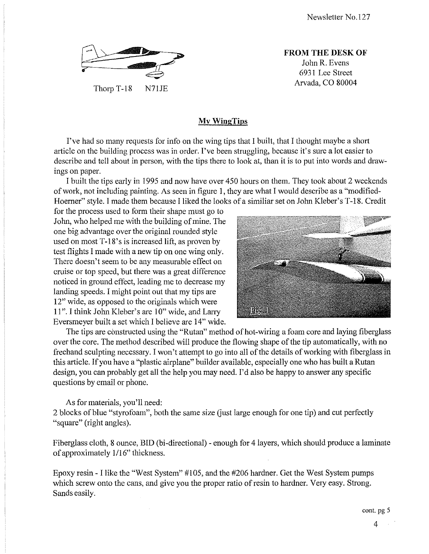

Thorp T-18 N71JE

**FROM THE DESK OF**  John R. Evens 6931 Lee Street Arvada, CO 80004

#### **MyWingTips**

I've had so many requests for info on the wing tips that I built, that I thought maybe a short article on the building process was in order. I've been struggling, because it's sure a lot easier to describe and tell about in person, with the tips there to look at, than it is to put into words and drawings on paper.

I built the tips early in 1995 and now have over 450 hours on them. They took about 2 weekends of work, not including painting. As seen in figure I, they are what I would describe as a "modified-Hoerner" style. I made them because I liked the looks of a similiar set on John Kleber's T -18. Credit

for the process used to form their shape must go to John, who helped me with the building of mine. The one big advantage over the original rounded style used on most  $T-18$ 's is increased lift, as proven by test flights I made with a new tip on one wing only. There doesn't seem to be any measurable effect on cruise or top speed, but there was a great difference noticed in ground effect, leading me to decrease my landing speeds. I might point out that my tips are 12" wide, as opposed to the originals which were 11". I think John Kleber's are 10" wide, and Larry Eversmeyer built a set which I believe are 14" wide.



The tips are constructed using the "Rutan" method of hot-wiring a foam core and laying fiberglass over the core. The method described will produce the flowing shape of the tip automatically, with no freehand sculpting necessary. I won't attempt to go into all of the details of working with fiberglass in this article. If you have a "plastic airplane" builder available, especially one who has built a Rutan design, you can probably get all the help you may need. I'd also be happy to answer any specific questions by email or phone.

As for materials, you'll need:

2 blocks of blue "styrofoam", both the same size (just large enough for one tip) and cut perfectly "square" (right angles).

Fiberglass cloth, 8 ounce, BID (bi-directional) - enough for 4 layers, which should produce a laminate of approximately 1/16" thickness.

Epoxy resin - I like the "West System" #105, and the #206 hardner. Get the West System pumps which screw onto the cans, and give you the proper ratio of resin to hardner. Very easy. Strong. Sands easily.

cont. pg 5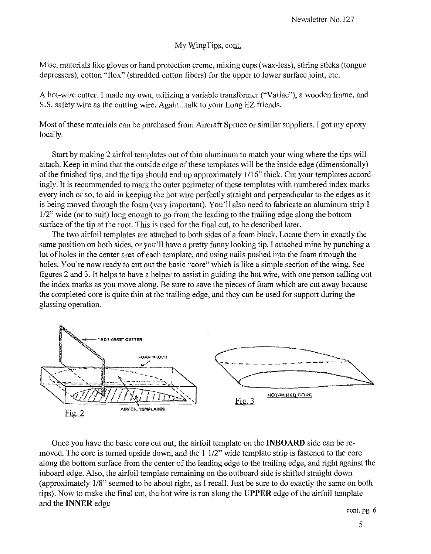#### My WingTips, cont.

Misc. materials like gloves or hand protection creme, mixing cups (wax-less), stiring sticks (tongue depressers), cotton "flox" (shredded cotton fibers) for the upper to lower surface joint, etc.

A hot-wire cutter. I made my own, utilizing a variable transformer ("Variac"), a wooden frame, and S.S. safety wire as the cutting wire. Again...talk to your Long EZ friends.

Most of these materials can be purchased from Aircraft Spruce or similar suppliers. I got my epoxy locally.

Start by making 2 airfoil templates out of thin aluminum to match your wing where the tips will attach. Keep **in** mind that the outside edge of these templates will be the inside edge (dimensionally) of the finished tips, and the tips should end up approximately 1116" thick. Cut your templates accordingly. It is recommended to mark the outer perimeter of these templates with numbered index marks every inch or so, to aid in keeping the hot wire perfectly straight and perpendicular to the edges as it is being moved through the foam (very important). You'll also need to fabricate an aluminum strip I *112"* wide (or to suit) long enough to go from the leading to the trailing edge along the bottom surface of the tip at the root. This is used for the final cut, to be described later.

The two airfoil templates are attached to both sides of a foam block. Locate them **in** exactly the same position on both sides, or you'll have a pretty funny looking tip. I attached mine by punching a lot of holes **in** the center area of each template, and using nails pushed into the foam through the holes. You're now ready to cut out the basic "core" which is like a simple section of the wing. See figures 2 and 3. It helps to have a helper to assist **in** guiding the hot wire, with one person calling out the index marks as you move along. Be sure to save the pieces of foam which are cut away because the completed core is quite thin at the trailing edge, and they can be used for support during the glassing operation.



Once you have the basic core cut out, the airfoil template on the **INBOARD** side can be removed. The core is turned upside down, and the I *112"* wide template strip is fastened to the core along the bottom surface from the center of the leading edge to the trailing edge, and right against the inboard edge. Also, the airfoil template remaining on the outboard side is shifted straight down (approximately *118"* seemed to be about right, as I recall. Just be sure to do exactly the same on both tips). Now to make the final cut, the hot wire is run along the **UPPER** edge ofthe airfoil template and the **INNER** edge

cont. pg. 6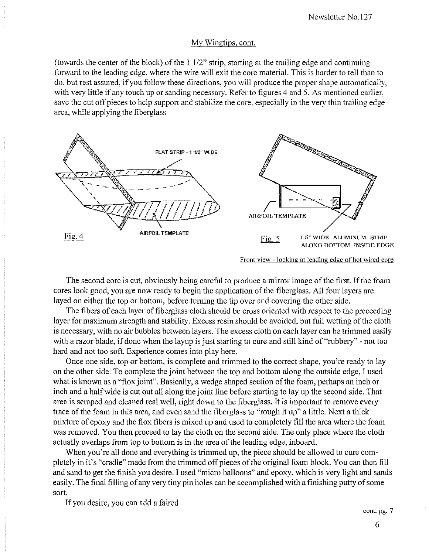#### My Wingtips, cont.

(towards the center of the block) of the  $1\frac{1}{2}$ " strip, starting at the trailing edge and continuing forward to the leading edge, where the wire will exit the core material. This is harder to tell than to do, but rest assured, if you follow these directions, you will produce the proper shape automatically, with very little if any touch up or sanding necessary. Refer to figures 4 and 5. As mentioned earlier, save the cut off pieces to help support and stabilize the core, especially in the very thin trailing edge area, while applying the fiberglass



Front view - looking at leading edge of hot wired core

The second core is cut, obviously being careful to produce a mirror image of the first. If the foam cores look good, you are now ready to begin the application of the fiberglass. All four layers are layed on either the top or bottom, before turning the tip over and covering the other side.

The fibers of each layer of fiberglass cloth should be cross oriented with respect to the preceeding layer for maximum strength and stability. Excess resin should be avoided, but full wetting of the cloth is necessary, with no air bubbles between layers. The excess cloth on each layer can be trimmed easily with a razor blade, if done when the layup is just starting to cure and still kind of "rubbery" - not too hard and not too soft. Experience comes into play here.

Once one side, top or bottom, is complete and trimmed to the correct shape, you're ready to lay on the other side. To complete the joint between the top and bottom along the outside edge, I used what is known as a "flox joint". Basically, a wedge shaped section of the foam, perhaps an inch or inch and a half wide is cut out all along the joint line before starting to lay up the second side. That area is scraped and cleaned real well, right down to the fiberglass. It is important to remove every trace of the foam in this area, and even sand the fiberglass to "rough it up" a little. Next a thick mixture of epoxy and the flox fibers is mixed up and used to completely fill the area where the foam was removed. You then proceed to lay the cloth on the second side. The only place where the cloth actually overlaps from top to bottom is in the area of the leading edge, inboard.

When you're all done and everything is trimmed up, the piece should be allowed to cure completely in it's "cradle" made from the trimmed off pieces of the original foam block. You can then fill and sand to get the finish you desire. I used "micro balloons" and epoxy, which is very light and sands easily. The final filling of any very tiny pin holes can be accomplished with a finishing putty of some sort.

If you desire, you can add a faired

cont. pg. 7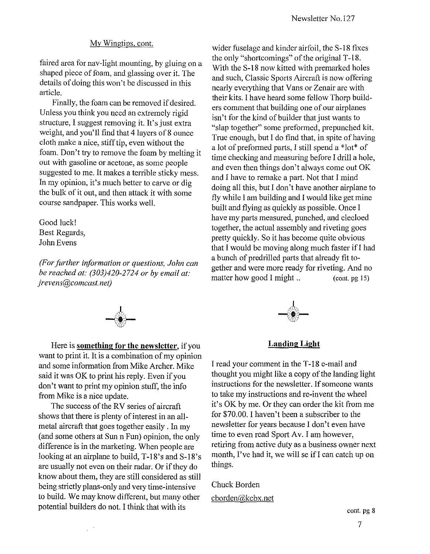#### My Wingtips, cont.

faired area for nav-light mounting, by gluing on a shaped piece of foam, and glassing over it. The details of doing this won't be discussed in this article.

Finally, the foam can be removed if desired. Unless you think you need an extremely rigid structure, I suggest removing it. It's just extra weight, and you'll find that 4 layers of 8 ounce cloth make a nice, stiff tip, even without the foam. Don't try to remove the foam by melting it out with gasoline or acetone, as some people suggested to me. It makes a terrible sticky mess. In my opinion, it's much better to carve or dig the bulk of it out, and then attack it with some course sandpaper. This works well.

Good luck! Best Regards, John Evens

*(For further information or questions, John can be reached at: (303)420-2724 or by email at: jrevens@comcast.net)* 





Here is **something for the newsletter,** if you want to print it. It is a combination of my opinion and some information from Mike Archer. Mike said it was OK to print his reply. Even if you don't want to print my opinion stuff, the info from Mike is a nice update.

The success of the RV series of aircraft shows that there is plenty of interest in an allmetal aircraft that goes together easily. In my (and some others at Sun n Fun) opinion, the only difference is in the marketing. When people are looking at an airplane to build, T-18's and S-18's are usually not even on their radar. Or if they do know about them, they are stilI considered as stilI being strictly plans-only and very time-intensive to build. We may know different, but many other potential builders do not. I think that with its

 $\mathbb{R}^{d-1}$ 



#### **Landing Light**

I read yonr comment in the T -18 e-mail and thought you might like a copy of the landing light instructions for the newsletter. If someone wants to take my instructions and re-invent the wheel it's OK by me. Or they can order the kit from me for \$70.00. I haven't been a subscriber to the newsletter for years because I don't even have time to even read Sport Av. I am however, retiring from active duty as a business owner next month, I've had it, we will se if I can catch up on things.

Chuck Borden cborden@kcbx.net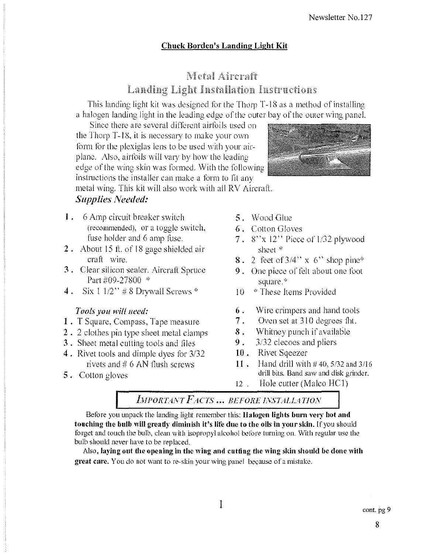# **Chuck Borden's Landing Light Kit**

# Metal Aircraft **Landing Light Installation Instructions**

This landing light kit was designed for the Thorp T-18 as a method of installing a halogen landing light in the leading edge of the outer bay of the outer wing panel.

Since there are several different airfoils used on the Thorp T-18, it is necessary to make your own form for the plexiglas lens to be used with your airplane. Also, airfoils will vary by how the leading edge of the wing skin was formed. With the following instructions the installer can make a form to fit any

metal wing. This kit will also work with all RV Aircraft.

# **Supplies Needed:**

- 1. 6 Amp circuit breaker switch (recommended), or a toggle switch, fuse holder and 6 amp fuse.
- 2. About 15 ft. of 18 gage shielded air craft wire.
- 3. Clear silicon sealer. Aircraft Spruce Part #09-27800 \*
- 4. Six  $1.1/2$ " #8 Drywall Screws \*

# Tools you will need:

- 1. T Square, Compass, Tape measure
- 2. 2 clothes pin type sheet metal clamps
- 3. Sheet metal cutting tools and files
- 4. Rivet tools and dimple dyes for 3/32 rivets and  $\#$  6 AN flush screws
- **5.** Cotton gloves
- 5. Wood Glue
- **6.** Cotton Gloves
- 7.  $8''x 12''$  Piece of 1/32 plywood sheet \*
- **8.** 2 feet of  $3/4$ " x 6" shop pine\*
- **9.** One piece of felt about one foot square.\*
- <sup>\*</sup> These Items Provided 10
- 6. Wire crimpers and hand tools
- 7. Oven set at 310 degrees fht.
- 8. Whitney punch if available
- 9. 3/32 clecoes and pliers
- 10. Rivet Sqeezer
- $11.$ Hand drill with  $\#$  40, 5/32 and 3/16 drill bits. Band saw and disk grinder.
- $12$ . Hole cutter (Malco HC1)

IMPORTANT FACTS ... BEFORE INSTALLATION

Before you unpack the landing light remember this: Halogen lights burn very hot and touching the bulb will greatly diminish it's life due to the oils in your skin. If you should forget and touch the bulb, clean with isopropyl alcohol before turning on. With regular use the bulb should never have to be replaced.

Also, laying out the opening in the wing and cutting the wing skin should be done with great care. You do not want to re-skin your wing panel because of a mistake.

1

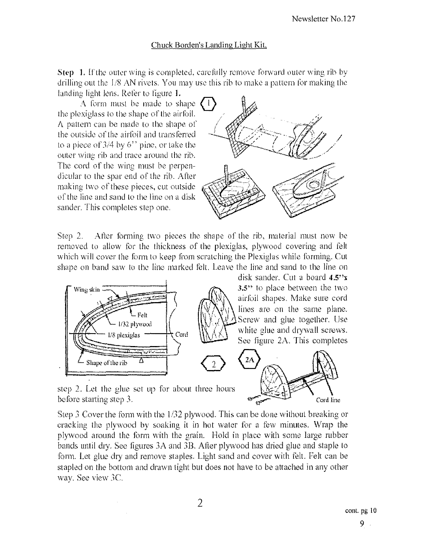#### Chuck Borden's Landing Light Kit.

Step 1. If the outer wing is completed, carefully remove forward outer wing rib by drilling out the 1/8 AN rivets. You may use this rib to make a pattern for making the landing light lens. Refer to figure 1.

A form must be made to shape the plexiglass to the shape of the airfoil. A pattern can be made to the shape of the outside of the airfoil and transferred to a piece of  $3/4$  by  $6$ <sup>\*\*</sup> pine, or take the outer wing rib and trace around the rib. The cord of the wing must be perpendicular to the spar end of the rib. After making two of these pieces, cut outside of the line and sand to the line on a disk sander. This completes step one.



After forming two pieces the shape of the rib, material must now be Step  $2.$ removed to allow for the thickness of the plexiglas, plywood covering and felt which will cover the form to keep from scratching the Plexiglas while forming. Cut shape on band saw to the line marked felt. Leave the line and sand to the line on



disk sander. Cut a board 4.5"x 3.5" to place between the two airfoil shapes. Make sure cord lines are on the same plane. Screw and glue together. Use white glue and drywall screws. See figure 2A. This completes



step 2. Let the glue set up for about three hours before starting step 3.

Step 3 Cover the form with the  $1/32$  plywood. This can be done without breaking or cracking the plywood by soaking it in hot water for a few minutes. Wrap the plywood around the form with the grain. Hold in place with some large rubber bands until dry. See figures 3A and 3B. After plywood has dried glue and staple to form. Let glue dry and remove staples. Light sand and cover with felt. Felt can be stapled on the bottom and drawn tight but does not have to be attached in any other way. See view 3C.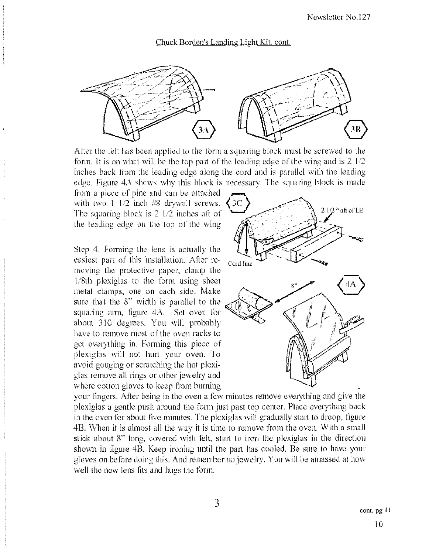#### Chuck Borden's Landing Light Kit. cont.



After the felt has been applied to the form a squaring block must be screwed to the form. It is on what will be the top part of the leading edge of the wing and is  $2 \frac{1}{2}$ inches back from the leading edge along the cord and is parallel with the leading edge. Figure 4A shows why this block is necessary. The squaring block is made

from a piece of pine and can be attached with two  $1 \,1/2$  inch #8 drywall screws. The squaring block is  $2/1/2$  inches aft of the leading edge on the top of the wing

Step 4, Forming the lens is actually the easiest part of this installation. After re- $_{\rm Cord \, line}$ moving the protective paper, clamp the Passest part of this fistentiation. After re-<br>moving the protective paper, clamp the<br>1/8th plexiglas to the form using sheet  $\begin{pmatrix} 4A \\ 4A \end{pmatrix}$  $\frac{1}{8}$ th plexiglas to the form using sheet<br>metal clamps, one on each side. Make sure that the  $8$ " width is parallel to the squaring arm, figure  $4A$ . Set oven for about 310 degrees. You will probably have to remove most of the oven racks to get everything in. Forming this piece of plexiglas will not hurt your oven, To avoid gonging or scratching the hot plexiglas remove all rings or other jewelry and where cotton gloves to keep from burning



your fingers. After being in the oven a few minutes remove everything and give the plexiglas a gentle push around the form just past top center. Place everything back in the oven for about five minutes, The plexiglas will gradually starl to droop, figure 4H. When it is almost all the way it is time to remove f\'om the oven. \Vith a small stick about 8" long, covered with felt, start to iron the plexiglas in the direction shown in figure 4B. Keep ironing until the part has cooled. Be sure to have your gloves on before doing this. And remember no jewelry. You will be amassed at how well the new lens fits and hugs the form.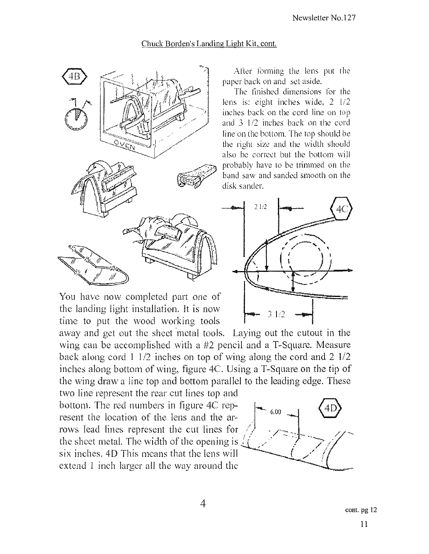## Chuck Borden's Landing Light Kit. cont.



After forming the lens put the paper back on and set aside.

The finished dimensions for the lens is: eight inches wide, 2 1/2 inches back on the cord line on top and  $3 \frac{1}{2}$  inches back on the cord line on the bottom. The top should be the right size and the width should also be correct but the bottom will probably have to be trimmed on the band saw and sanded smooth on the disk sander.



You have now completed part one of the landing light installation. It is now time to put the wood working tools

away and get out the sheet 'metal tools. Laying out the eutout in the wing can be accomplished with a #2 pencil and a T-Square. Measure back along cord I 1/2 inches on top of wing along the cord and 2 1/2 inches along bottom of wing, figure 4C. Using a T-Square on the tip of the wing draw a line top and bottom parallel to the leading edge. These

two line represent the rear cut lines top and bottom. The red numbers in figure 4C represent the location of the lens and the arrows lead lines represent the cut lines for  $\frac{6.00}{2}$ the sheet metal. The width of the opening is  $\mathbf{r}$ . six inches.  $4D$  This means that the lens will extend I inch larger all the way around the

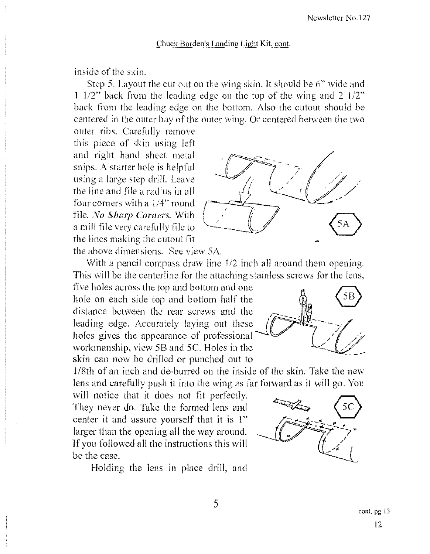### Chuck Borden's Landing Light Kit, cont.

inside of the skin.

Step 5. Layout the cut out on the wing skin. It should be 6" wide and 1  $1/2$ " back from the leading edge on the top of the wing and 2  $1/2$ " back from the leading edge on the bottom. Also the cutout should be eentered in the outer bay of the outer wing. Or centered between the two

outer ribs. Carefully remove this pieee of skin using left and right hand sheet metal snips. *A.* starter hole is helpful using a large step drill. Leave the line and file a radius in all four corners with a *114"* round file. No Sharp Corners. With a mill file very carefully file to the lines making the eutout fit the above dimensions. See view 5A.



With a pencil compass draw line 1/2 inch all around them opening. This will be the centerline for the attaching stainless screws for the lens,

five holes aeross the top and bottom and one hole on each side top and bottom half the distance between the rear screws and the distance between the rear screws and the leading edge. Accurately laying out these  $\iint \mathbb{R} \mathbb{R} \to \mathbb{R}$ leading edge. Accurately laying out these  $\frac{1}{\sqrt{2}}$ holes gives the appearance of professional workmanship, view 5B and 5C. Holes in the skin can now be driIled or punched out to

1/8th of an inch and de-burred on the inside of the skin. Take the new lens and carefully push it into the wing as far forward as it will go. You

will notice that it does not fit perfectly. They never do. Take the formed lens and center it and assure yourself that it is 1" larger than the opening all the way around. If you followed all the instructions this will be the case.

Holding the lens in place drill, and



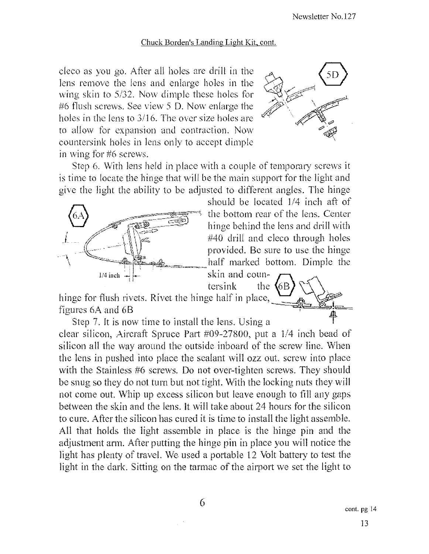#### Chuck Borden's Landing Light Kit, cont.

cleco as you go. After all holes are drill in the lens remove the lens and enlarge holes in the wing skin to  $5/32$ . Now dimple these holes for #6 flush screws. See view 5 D. Now enlarge the holes in the lens to 3/16. The over size holes are to allow for expansion and contraction. Now countersink holes in lens only to accept dimple in wing for  $#6$  screws.



Step 6. With lens held in place with a couple of temporary screws it is time to locate the hinge that will be the main support for the light and give the light the ability to be adjusted to ditTerent angles. The hinge



should be located 1/4 inch aft of the bottom rear of the lens. Center  $\frac{1}{\sqrt{1+\frac{1}{\sqrt{1+\frac{1}{\sqrt{1+\frac{1}{\sqrt{1+\frac{1}{\sqrt{1+\frac{1}{\sqrt{1+\frac{1}{\sqrt{1+\frac{1}{\sqrt{1+\frac{1}{\sqrt{1+\frac{1}{\sqrt{1+\frac{1}{\sqrt{1+\frac{1}{\sqrt{1+\frac{1}{\sqrt{1+\frac{1}{\sqrt{1+\frac{1}{\sqrt{1+\frac{1}{\sqrt{1+\frac{1}{\sqrt{1+\frac{1}{\sqrt{1+\frac{1}{\sqrt{1+\frac{1}{\sqrt{1+\frac{1}{\sqrt{1+\frac{1}{\sqrt{1+\frac{1}{\sqrt{1+\frac{1}{\sqrt{1+\frac{1$ #40 drill and cleco through holes<br>provided. Be sure to use the hinge

tersink the<br>hinge for flush rivets. Rivet the hinge half in place, figures 6A and 6B  $\overline{a}$  =  $\overline{b}$  =  $\overline{c}$  =  $\overline{a}$  =  $\overline{b}$  =  $\overline{c}$  =  $\overline{c}$  =  $\overline{a}$  =  $\overline{b}$  =  $\overline{c}$  =  $\overline{c}$  =  $\overline{a}$  =  $\overline{c}$  =  $\overline{c}$  =  $\overline{a}$  =  $\overline{c}$  =  $\overline{c}$  =  $\overline{c}$  =  $\overline{$ Step 7. It is now time to install the lens. Using a



clear silicon, Aircraft Spruce Part #09-27800, put a 1/4 inch bead of silicon all the way around the outside inboard of the screw line. When the lens in pushed into place the sealant will ozz out. screw into place with the Stainless #6 screws. Do not over-tighten screws. They should be snug so they do not turn but not tight. With the locking nuts they will not come out. Whip up excess silicon but leave enough to fill any gaps between the skin and the lens. It will take about 24 hours for the silicon to cure. After the silicon has cured it is time to install the light assemble. <sup>~</sup> All that holds the light assemble in plaee is the binge pin and the adjustment ann. After putting the hinge pin in place you will notice the light has plenty of travel. We used a portable 12 Volt battery to test the light in the dark. Sitting on the tarmac of the airport we set the light to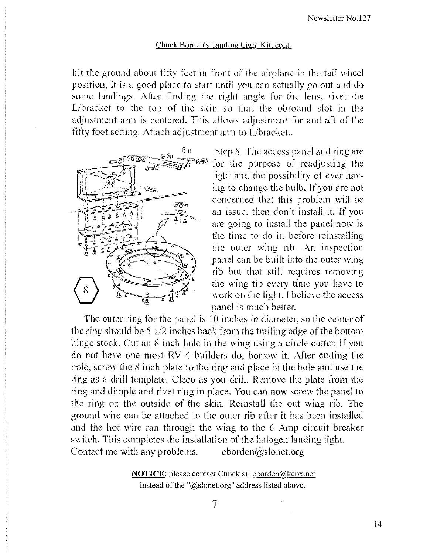#### Chuck Borden's Landing Light Kit, cont.

hit the ground about fifty feet in front of the airplane in the tail wheel position, It is a good place to start until you can actually go out and do some landings. After finding the right angle for the lens, rivet the L/bracket to the top of the skin so that the obround slot in the adjustment arm is centered. This allows adjustment for and aft of the fifty foot setting. Attach adjustment arm to L/bracket..



Step 8. The access panel and ring are for the purpose of readjusting the light and the possibility of ever having to change the bulb. If you are not concerned that this problem will be an issue, then don't install it. If you are going to install the panel now is the time to do it, before reinstalling the outer wing rib. An inspection panel can be built into the outer wing rib but that still requires removing the wing tip every time you have to work on the light. I believe the access panel is much better.

The outer ring for the panel is 10 inches in diameter, so the center of the ring should be 5 1/2 inches back from the trailing edge of the bottom hinge stock. Cut an 8 inch hole in the wing using a circle cutter. If you do not have one most RV 4 builders do, borrow it. After cutting the hole, screw the 8 inch plate to the ring and place in the hole and use the ring as a drill template. Cleco as you drill. Remove the plate from the ring and dimple and rivet ring in place. You can now screw the panel to the ring on the outside of the skin. Reinstall the out wing rib. The ground wire can be attached to the outer rib after it has been installed and the hot wire ran through the wing to the 6 Amp circuit breaker switch. This completes the installation of the halogen landing light. Contact me with any problems. cborden@slonet.org

> **NOTICE:** please contact Chuck at: cborden@kcbx.net instead of the "@slonet.org" address listed above.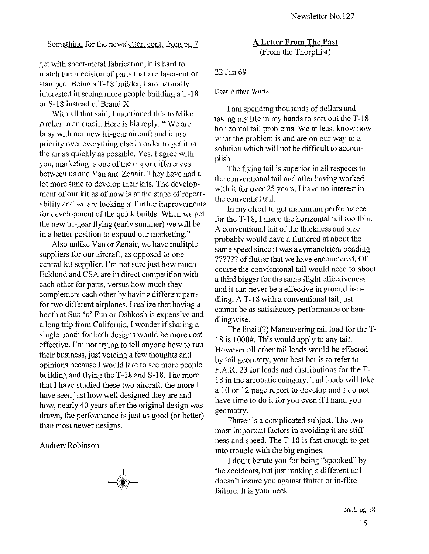#### Something for the newsletter, cont. from pg 7

get with sheet -metal fabrication, it is hard to match the precision of parts that are laser-cut or stamped. Being a T-18 builder, I am naturally interested in seeing more people building a T-18 or S-IS instead of Brand X.

With all that said, I mentioned this to Mike Archer in an email. Here is his reply: "We are busy with our new tri-gear aircraft and it has priority over everything else in order to get it in the air as quickly as possible. Yes, I agree with you, marketing is one of the major differences between us and Van and Zenair. They have had a lot more time to develop their kits. The development of our kit as of now is at the stage of repeatability and we are looking at further improvements for development of the quick builds. When we get the new tri-gear flying (early summer) we will be in a better position to expand our marketing."

Also unlike Van or Zenair, we have mulitple suppliers for our aircraft, as opposed to one central kit supplier. I'm not sure just how much Ecklund and CSA are in direct competition with each other for parts, versus how much they complement each other by having different parts for two different airplanes. I realize that having a booth at Sun 'n' Fun or Oshkosh is expensive and a.long trip from California. I wonder if sharing a single booth for both designs would be more cost effective. I'm not trying to tell anyone how to run their business, just voicing a few thoughts and opinions because I would like to see more people building and flying the  $T-18$  and  $S-18$ . The more that I have studied these two aircraft, the more I have seen just how well designed they are and how, nearly 40 years after the original design was drawn, the performance is just as good (or better) than most newer designs.

Andrew Robinson



A **Letter From The** Past (From the ThorpList)

#### 22 Jan 69

#### Dear Arthur Wortz

I am spending thousands of dollars and taking my life in my hands to sort out the T -18 horizontal tail problems. We at least know now what the problem is and are on our way to a solution which will not be difficult to accomplish.

The flying tail is superior in all respects to the conventional tail and after having worked with it for over 25 years, I have no interest in the convential tail.

In my effort to get maximum performance for the T-18, I made the horizontal tail too thin. A conventional tail of the thickness and size probably would have a fluttered at about the same speed since it was a symanetrical bending ?????? of flutter that we have encountered. Of course the convientonal tail would need to about a third bigger for the same flight effectiveness and it can never be a effective in ground handling. A T-18 with a conventional tail just cannot be as satisfactory performance or handling wise.

The linait(?) Maneuvering tail load for the T-18 is 1000#. This would apply to any tail. However all other tail loads would be effected by tail geomatry, your best bet is to refer to F .A.R. 23 for loads and distributions for the T-IS in the areobatic catagory. Tail loads will take a 10 or 12 page report to develop and I do not have time to do it for you even if I hand you geomatry.

Flutter is a complicated subject. The two most important factors in avoiding it are stiffness and speed. The T -18 is fast enough to get into trouble with the big engines.

I don't berate you for being "spooked" by the accidents, but just making a different tail doesn't insure you against flutter or in-flite failure. It is your neck.

 $\mathbb{R}^3$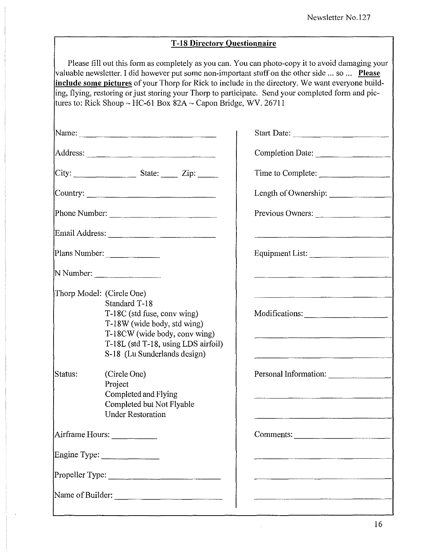#### **T -18 Directory Questionnaire**

Please fill out this form as completely as you can. You can photo-copy it to avoid damaging your valuable newsletter. I did however put some non-important stuff on the other side ... so ... **Please include some pictures** of your Thorp for Rick to include in the directory. We want everyone building, flying, restoring or just storing your Thorp to participate. Send your completed form and pictures to: Rick Shoup ~ HC-61 Box 82A ~ Capon Bridge, WV. 26711

|                               |                                                                                                                                                                                                                                                                                                                                                                                                                                                                      | Start Date:           |
|-------------------------------|----------------------------------------------------------------------------------------------------------------------------------------------------------------------------------------------------------------------------------------------------------------------------------------------------------------------------------------------------------------------------------------------------------------------------------------------------------------------|-----------------------|
|                               |                                                                                                                                                                                                                                                                                                                                                                                                                                                                      | Completion Date:      |
|                               | $\begin{array}{c} \n\text{City:} \quad \text{State:} \quad \text{Zip:} \quad \text{I.} \quad \text{I.} \quad \text{I.} \quad \text{I.} \quad \text{I.} \quad \text{I.} \quad \text{I.} \quad \text{I.} \quad \text{I.} \quad \text{I.} \quad \text{I.} \quad \text{I.} \quad \text{I.} \quad \text{I.} \quad \text{I.} \quad \text{I.} \quad \text{I.} \quad \text{I.} \quad \text{I.} \quad \text{I.} \quad \text{I.} \quad \text{I.} \quad \text{I.} \quad \text{$ | Time to Complete:     |
|                               |                                                                                                                                                                                                                                                                                                                                                                                                                                                                      | Length of Ownership:  |
|                               | Phone Number:                                                                                                                                                                                                                                                                                                                                                                                                                                                        | Previous Owners:      |
|                               |                                                                                                                                                                                                                                                                                                                                                                                                                                                                      |                       |
|                               | Plans Number:                                                                                                                                                                                                                                                                                                                                                                                                                                                        | Equipment List:       |
| N Number:                     |                                                                                                                                                                                                                                                                                                                                                                                                                                                                      |                       |
| Thorp Model: (Circle One)     | Standard T-18<br>T-18C (std fuse, conv wing)<br>T-18W (wide body, std wing)<br>T-18CW (wide body, conv wing)<br>T-18L (std T-18, using LDS airfoil)                                                                                                                                                                                                                                                                                                                  | Modifications:        |
| Status:                       | S-18 (Lu Sunderlands design)<br>(Circle One)<br>Project<br>Completed and Flying<br>Completed but Not Flyable<br><b>Under Restoration</b>                                                                                                                                                                                                                                                                                                                             | Personal Information: |
| Airframe Hours:               |                                                                                                                                                                                                                                                                                                                                                                                                                                                                      | Comments:             |
| Engine Type: ________________ |                                                                                                                                                                                                                                                                                                                                                                                                                                                                      |                       |
| Propeller Type:               |                                                                                                                                                                                                                                                                                                                                                                                                                                                                      |                       |
| Name of Builder:              |                                                                                                                                                                                                                                                                                                                                                                                                                                                                      |                       |

 $\cdot$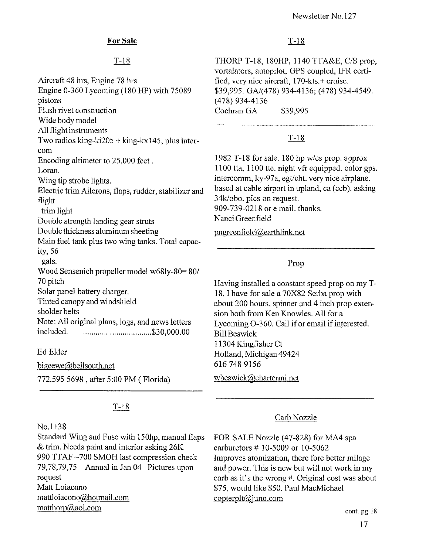# For Sale

# $T-18$

Aircraft 48 hrs, Engine 78 hrs . Engine 0-360 Lycoming (180 HP) with 75089 pistons Flush rivet construction Wide body model All flight instruments Two radios king-ki $205 +$ king-kx145, plus intercom Encoding altimeter to 25,000 feet. Loran. Wing tip strobe lights. Electric trim Ailerons, flaps, rudder, stabilizer and flight trim light Double strength landing gear struts Double thickness aluminum sheeting Main fuel tank plus two wing tanks. Total capacity, 56 gals. Wood Sensenich propeller model w68Iy-80= *801*  70 pitch Solar panel battery charger. Tinted canopy and windshield sholder belts Note: All original plans, logs, and news letters included. . ................................ \$30,000.00

Ed Elder

bigeewe@bellsouth.net

772.595 5698 , after 5:00 PM (Florida)

# $T-18$

#### No.1 138

Standard Wing and Fuse with 150hp, manual flaps & trim. Needs paint and interior asking 26K 990 TTAF -700 SMOH last compression check 79,78,79,75 Annual in Jan 04 Pictures upon request Matt Loiacono mattloiacono@hotmail.com matthorp@aol.com

# $T-18$

THORP T-18, 180HP, 1140 TTA&E, CIS prop, vortalators, autopilot, GPS coupled, IFR certified, very nice aircraft, 170-kts.+ cruise. *\$39,995. GAI(478)* 934-4136; (478) 934-4549. (478) 934-4136 Cochran GA \$39,995

# $T-18$

1982 T -18 for sale. 180 hp *wlcs* prop. approx 1100 tta, 1100 tte. night vfr equipped. color gps. intercomm, ky-97a, egt/cht. very nice airplane. based at cable airport in upland, ca (ccb). asking 34k/obo. pics on request. 909-739-0218 or e mail. thanks. Nanci Greenfield

pngreenfield@earthlink.net

# Prop

Having installed a constant speed prop on my T-18, I have for sale a 70X82 Serba prop with about 200 hours, spinner and 4 inch prop extension both from Ken Knowles. All for a Lycoming 0-360. Call if or email if interested. Bill Beswick 11304 Kingfisher Ct Holland, Michigan 49424 6167489156 wbeswick@chartermi.net

# Carb Nozzle

FOR SALE Nozzle (47-828) for MA4 spa carburetors # 10-5009 or 10-5062 Improves atomization, there fore better milage and power. This is new but will not work in my carb as it's the wrong #. Original cost was about \$75, would like \$50. Paul MacMichael copterplt@juno.com

cont. pg 18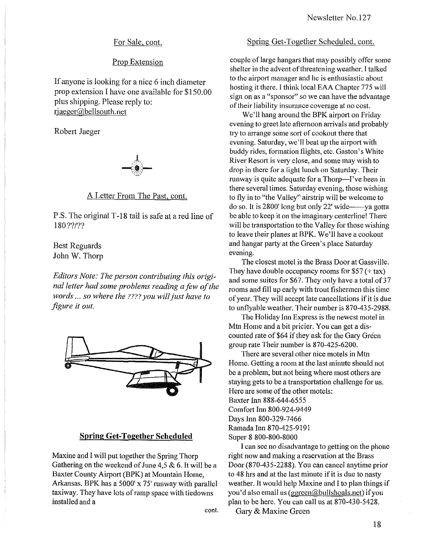#### For Sale, cont.

#### Prop Extension

If anyone is looking for a nice 6 inch diameter prop extension I have one available for \$150.00 plus shipping. Please reply to: rjaeger@bellsouth.net

Robert Jaeger



A Letter From The Past, cont.

P.S. The original T-18 tail is safe at a red line of 180 ??I??

Best Reguards John W. Thorp

*Editors Note: The person contributing this originalletter had some problems reading a few of the words* ... *so where the* ???? *you willjust have to figure* it *out.* 



#### **Spring Get-Together Scheduled**

Maxine and I will put together the Spring Thorp Gathering on the weekend of June 4,5 & 6. It will be a Baxter County Airport (BPK) at Mountain Home, Arkansas. BPK has a 5000' x 75' runway with parallel taxiway. They have lots of ramp space with tiedowns installed and a

**cant.** 

#### Spring Get-Together Scheduled, cont.

couple of large hangars that may possibly offer some shelter in the advent of threatening weather. I talked to the airport manager and he is enthusiastic about hosting it there. I think local EAA Chapter 775 will sign on as a "sponsor" so we can have the advantage of their liability insurance coverage at no cost.

We'll hang around the BPK airport on Friday evening to greet late afternoon arrivals and probablY try to arrange some sort of cookout there that evening. Saturday, we'll beat up the airport with buddy rides, formation flights, etc. Gaston's White River Resort is very close, and some may wish to drop in there for a light lunch on Saturday. Their runway is quite adequate for a Thorp-I've been in there several times. Saturday evening, those wishing to fly in to "the Valley" airstrip will be welcome to  $\frac{1}{2}$  do so. It is 2800' long but only 22' wide------ya gotta be able to keep it on the imaginary centerline! There will be transportation to the Valley for those wishing to leave their planes at BPK. We'll have a cookout and hangar party at the Green's place Saturday evening.

The closest motel is the Brass Door at Gassville. They have double occupancy rooms for  $$57$  (+ tax) and some suites for \$67. They only have a total of 37 rooms and fill up early with trout fishermen this time of year. They will accept late cancellations if it is due to unflyable weather. Their number is 870-435-2988.

The Holiday Inn Express is the newest motel in Mtn Home and a bit pricier. You can get a discounted rate of \$64 if they ask for the Gary Green group rate Their number is 870-425-6200.

There are several other nice motels in Mtn Home. Getting a room at the last minute should not be a problem, but not being where most others are staying gets to be a transportation challenge for us. Here are some of the other motels: Baxter Inn 888-644-6555 Comfort Inn 800-924-9449 Days Inn 800-329-7466 Ramada Inn 870-425-9191 Super 8 800-800-8000

I can see no disadvantage to getting on the phone right now and making a reservation at the Brass Door (870-435-2288). You can cancel anytime prior to 48 hrs and at the last minute if it is due to nasty weather. It would help Maxine and I to plan things if you'd also email us(ggreen@bullshoals.net) if you plan to be here. You can call us at 870-430-5428.

Gary & Maxine Green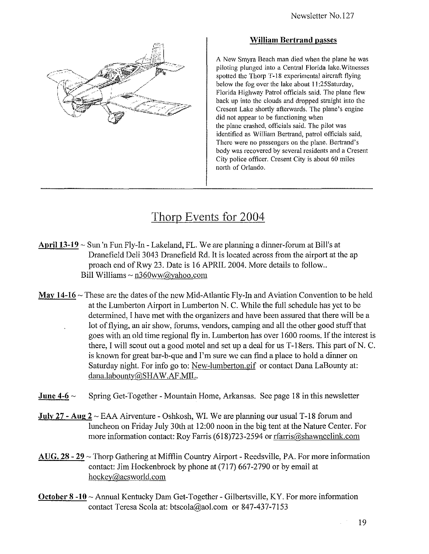

#### William Bertrand passes

A New Smyra Beach man died when the plane he was piloting plunged into a Central Florida lake. Witnesses spotted the Thorp T-18 experimental aircraft flying below the fog over the lake about 11:25Saturday, Florida Highway Patrol officials said. The plane flew back up into the clouds and dropped straight into the Cresent Lake shortly afterwards. The plane's engine did not appear to be functioning when the plane crashed, officials said. The pilot was identified as William Bertrand, patrol officials said, There were no passengers on the plane. Bertrand's body was recovered by several residents and a Cresent City police officer. Cresent City is about 60 miles north of Orlando.

# Thorp Events for 2004

- April  $13-19 \sim$  Sun 'n Fun Fly-In Lakeland, FL. We are planning a dinner-forum at Bill's at Dranefield Deli 3043 Dranefield Rd. It is located across from the airport at the ap proach end of Rwy 23. Date is 16 APRIL 2004. More details to follow.. Bill Williams  $\sim$  n360ww@yahoo.com
- May 14-16  $\sim$  These are the dates of the new Mid-Atlantic Fly-In and Aviation Convention to be held at the Lumberton Airport in Lumberton N. C. While the full schedule has yet to be determined, I have met with the organizers and have been assured that there will be a lot of flying, an air show, forums, vendors, camping and all the other good stuff that goes with an old time regional fly in. Lumberton has over 1600 rooms. If the interest is there, I will scout out a good motel and set up a deal for us T-18ers. This part of N. C. is known for great bar-b-que and I'm sure we can find a place to hold a dinner on Saturday night. For info go to: New-lumberton.gif or contact Dana LaBounty at: dana.labountv@SHAW.AF.MIL.
- **June 4-6**  $\sim$  Spring Get-Together Mountain Home, Arkansas. See page 18 in this newsletter
- **July 27 Aug 2**  $\sim$  EAA Airventure Oshkosh, WI. We are planning our usual T-18 forum and luncheon on Friday July 30th at 12:00 noon in the big tent at the Nature Center. For more information contact: Roy Farris (618)723-2594 or rfarris@shawneelink.com
- $A\overline{U}G$ . 28 29  $\sim$  Thorp Gathering at Mifflin Country Airport Reedsville, PA. For more information contact: Jim Hockenbrock by phone at (717) 667-2790 or by email at hockey@acsworld.com
- October 8-10 ~ Annual Kentucky Dam Get-Together Gilbertsville, KY. For more information contact Teresa Scola at: btscola@aol.com or 847-437-7153